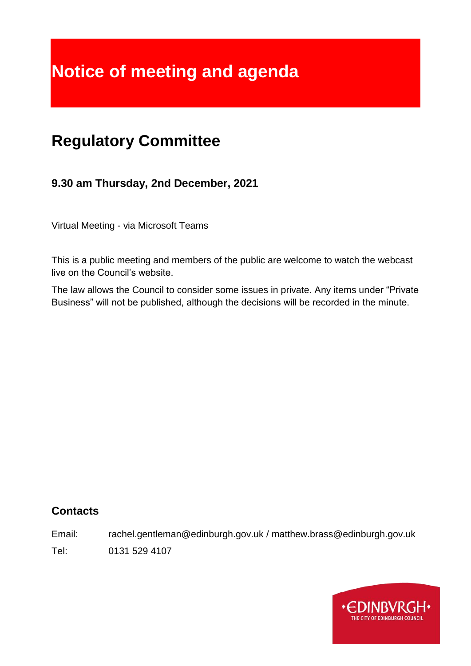# **Notice of meeting and agenda**

## **Regulatory Committee**

## **9.30 am Thursday, 2nd December, 2021**

Virtual Meeting - via Microsoft Teams

This is a public meeting and members of the public are welcome to watch the webcast live on the Council's website.

The law allows the Council to consider some issues in private. Any items under "Private Business" will not be published, although the decisions will be recorded in the minute.

## **Contacts**

Email: rachel.gentleman@edinburgh.gov.uk / matthew.brass@edinburgh.gov.uk

Tel: 0131 529 4107

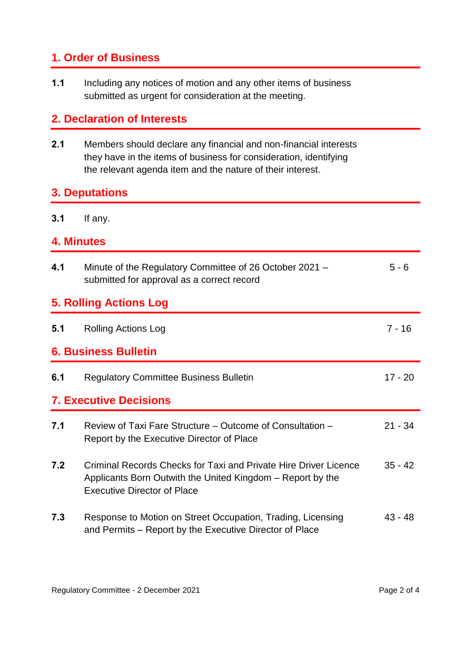## **1. Order of Business**

**1.1** Including any notices of motion and any other items of business submitted as urgent for consideration at the meeting.

## **2. Declaration of Interests**

**2.1** Members should declare any financial and non-financial interests they have in the items of business for consideration, identifying the relevant agenda item and the nature of their interest.

#### **3. Deputations**

**3.1** If any.

### **4. Minutes**

| 4.1                           | Minute of the Regulatory Committee of 26 October 2021 -<br>submitted for approval as a correct record                                                                | $5 - 6$   |
|-------------------------------|----------------------------------------------------------------------------------------------------------------------------------------------------------------------|-----------|
| <b>5. Rolling Actions Log</b> |                                                                                                                                                                      |           |
| 5.1                           | <b>Rolling Actions Log</b>                                                                                                                                           | $7 - 16$  |
| <b>6. Business Bulletin</b>   |                                                                                                                                                                      |           |
| 6.1                           | <b>Regulatory Committee Business Bulletin</b>                                                                                                                        | $17 - 20$ |
| <b>7. Executive Decisions</b> |                                                                                                                                                                      |           |
| 7.1                           | Review of Taxi Fare Structure – Outcome of Consultation –<br>Report by the Executive Director of Place                                                               | $21 - 34$ |
| 7.2                           | Criminal Records Checks for Taxi and Private Hire Driver Licence<br>Applicants Born Outwith the United Kingdom – Report by the<br><b>Executive Director of Place</b> | $35 - 42$ |
| 7.3                           | Response to Motion on Street Occupation, Trading, Licensing<br>and Permits – Report by the Executive Director of Place                                               | 43 - 48   |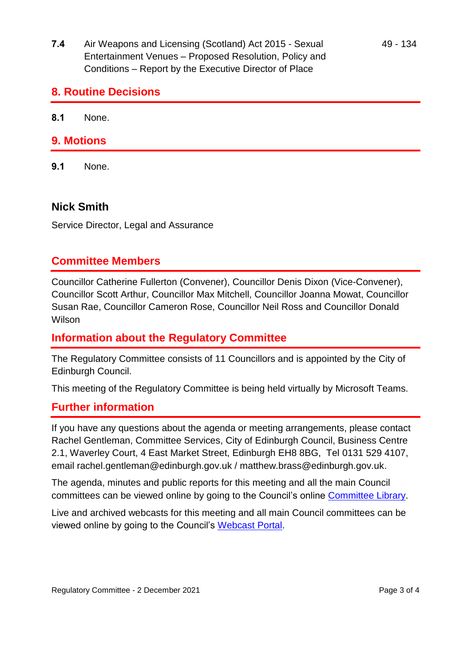**7.4** Air Weapons and Licensing (Scotland) Act 2015 - Sexual Entertainment Venues – Proposed Resolution, Policy and Conditions – Report by the Executive Director of Place

#### **8. Routine Decisions**

**8.1** None.

#### **9. Motions**

**9.1** None.

#### **Nick Smith**

Service Director, Legal and Assurance

#### **Committee Members**

Councillor Catherine Fullerton (Convener), Councillor Denis Dixon (Vice-Convener), Councillor Scott Arthur, Councillor Max Mitchell, Councillor Joanna Mowat, Councillor Susan Rae, Councillor Cameron Rose, Councillor Neil Ross and Councillor Donald Wilson

#### **Information about the Regulatory Committee**

The Regulatory Committee consists of 11 Councillors and is appointed by the City of Edinburgh Council.

This meeting of the Regulatory Committee is being held virtually by Microsoft Teams.

#### **Further information**

If you have any questions about the agenda or meeting arrangements, please contact Rachel Gentleman, Committee Services, City of Edinburgh Council, Business Centre 2.1, Waverley Court, 4 East Market Street, Edinburgh EH8 8BG, Tel 0131 529 4107, email rachel.gentleman@edinburgh.gov.uk / matthew.brass@edinburgh.gov.uk.

The agenda, minutes and public reports for this meeting and all the main Council committees can be viewed online by going to the Council's online [Committee Library.](https://democracy.edinburgh.gov.uk/ieDocHome.aspx?bcr=1)

Live and archived webcasts for this meeting and all main Council committees can be viewed online by going to the Council's [Webcast Portal.](https://edinburgh.public-i.tv/core/portal/home)